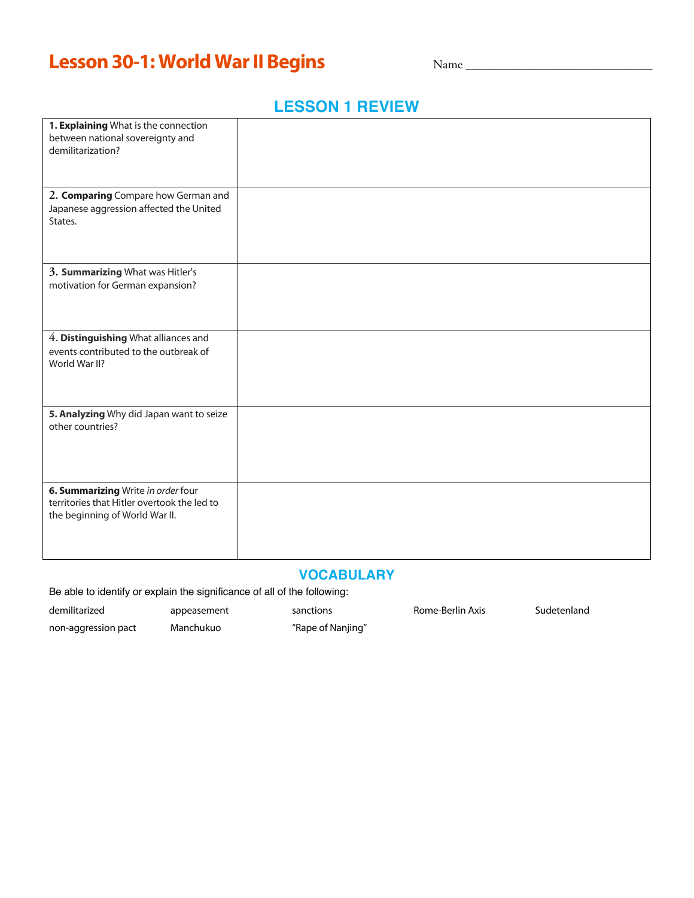# **Lesson 30-1: World War II Begins**

Name \_\_\_\_\_\_\_\_\_\_\_\_\_\_\_\_\_\_\_\_\_\_\_\_\_\_\_\_\_\_

### **LESSON 1 REVIEW**

| 1. Explaining What is the connection<br>between national sovereignty and<br>demilitarization?                       |  |
|---------------------------------------------------------------------------------------------------------------------|--|
| 2. Comparing Compare how German and<br>Japanese aggression affected the United<br>States.                           |  |
| 3. Summarizing What was Hitler's<br>motivation for German expansion?                                                |  |
| 4. Distinguishing What alliances and<br>events contributed to the outbreak of<br>World War II?                      |  |
| 5. Analyzing Why did Japan want to seize<br>other countries?                                                        |  |
| 6. Summarizing Write in order four<br>territories that Hitler overtook the led to<br>the beginning of World War II. |  |

### **VOCABULARY**

Be able to identify or explain the significance of all of the following:

demilitarized **appeasement** sanctions Rome-Berlin Axis Sudetenland

non-aggression pact Manchukuo "Rape of Nanjing"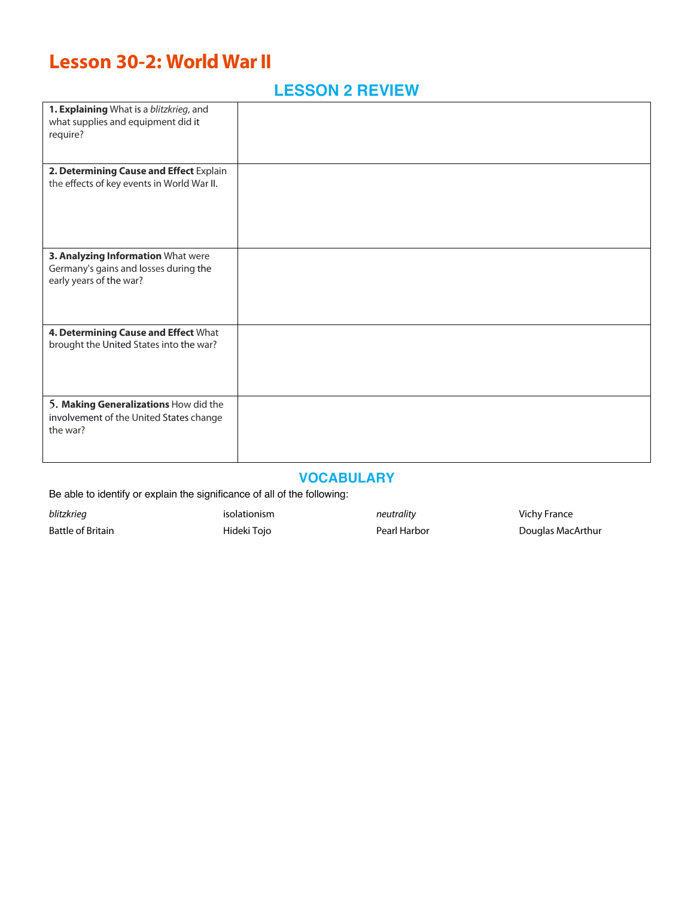## **Lesson 30-2: World War II**

### **LESSON 2 REVIEW**

| 1. Explaining What is a blitzkrieg, and<br>what supplies and equipment did it<br>require?              |  |
|--------------------------------------------------------------------------------------------------------|--|
| 2. Determining Cause and Effect Explain<br>the effects of key events in World War II.                  |  |
| 3. Analyzing Information What were<br>Germany's gains and losses during the<br>early years of the war? |  |
| 4. Determining Cause and Effect What<br>brought the United States into the war?                        |  |
| 5. Making Generalizations How did the<br>involvement of the United States change<br>the war?           |  |

#### **VOCABULARY**

Be able to identify or explain the significance of all of the following:

**blitzkrieg** values of *isolationism neutrality neutrality* Vichy France

Battle of Britain **Battle of Britain Hideki Tojo Pearl Harbor** Pearl Harbor **Pearl Harbor** Douglas MacArthur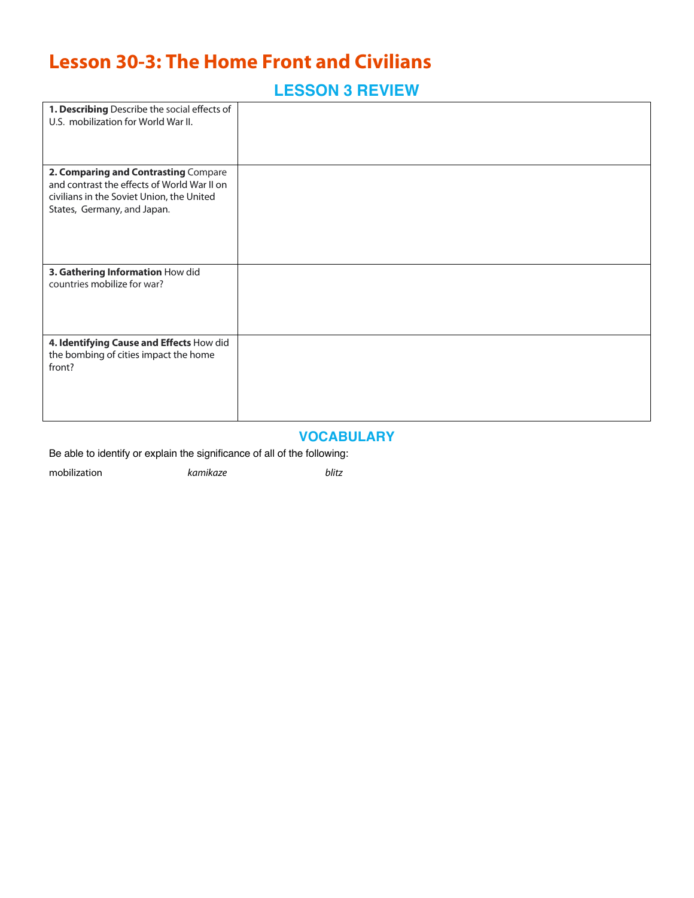## **Lesson 30-3: The Home Front and Civilians**

## **LESSON 3 REVIEW**

| 1. Describing Describe the social effects of<br>U.S. mobilization for World War II.                                                                             |  |
|-----------------------------------------------------------------------------------------------------------------------------------------------------------------|--|
| 2. Comparing and Contrasting Compare<br>and contrast the effects of World War II on<br>civilians in the Soviet Union, the United<br>States, Germany, and Japan. |  |
| 3. Gathering Information How did<br>countries mobilize for war?                                                                                                 |  |
| 4. Identifying Cause and Effects How did<br>the bombing of cities impact the home<br>front?                                                                     |  |

#### **VOCABULARY**

Be able to identify or explain the significance of all of the following:

mobilization *kamikaze blitz*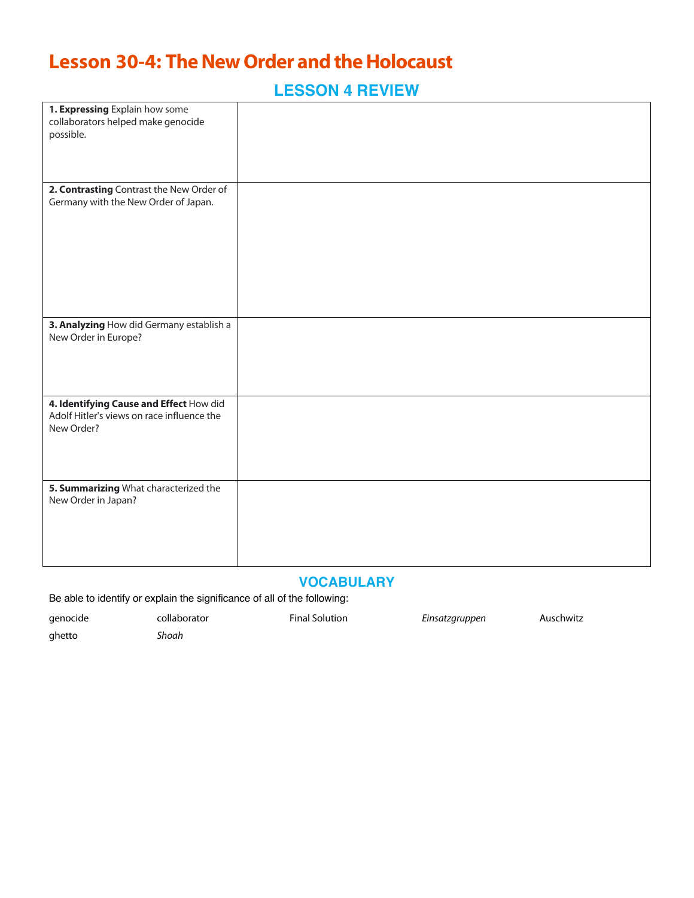## **Lesson 30-4: The New Order and the Holocaust**

**LESSON 4 REVIEW**

| 1. Expressing Explain how some<br>collaborators helped make genocide<br>possible.                   |  |
|-----------------------------------------------------------------------------------------------------|--|
| 2. Contrasting Contrast the New Order of<br>Germany with the New Order of Japan.                    |  |
| 3. Analyzing How did Germany establish a<br>New Order in Europe?                                    |  |
| 4. Identifying Cause and Effect How did<br>Adolf Hitler's views on race influence the<br>New Order? |  |
| 5. Summarizing What characterized the<br>New Order in Japan?                                        |  |

#### **VOCABULARY**

Be able to identify or explain the significance of all of the following:

| genocide | collaborator | <b>Final Solution</b> | Einsatzgruppen | Auschwitz |
|----------|--------------|-----------------------|----------------|-----------|
| ghetto   | Shoah        |                       |                |           |